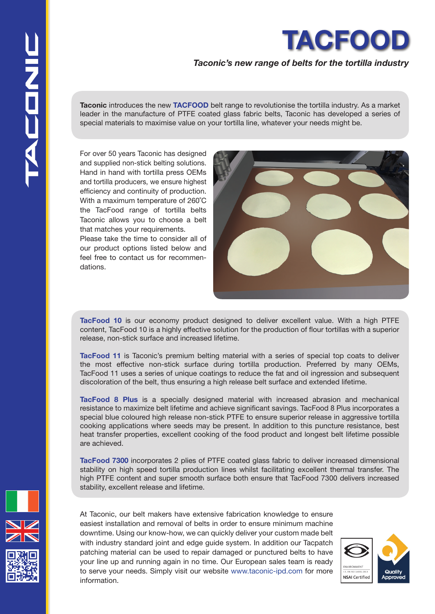

## *Taconic's new range of belts for the tortilla industry*

. leader in the manufacture of PTFE coated glass fabric belts, Taconic has developed a series of **Taconic** introduces the new **TACFOOD** belt range to revolutionise the tortilla industry. As a market special materials to maximise value on your tortilla line, whatever your needs might be.

For over 50 years Taconic has designed and supplied non-stick belting solutions. Hand in hand with tortilla press OEMs and tortilla producers, we ensure highest efficiency and continuity of production. With a maximum temperature of 260˚C the TacFood range of tortilla belts Taconic allows you to choose a belt that matches your requirements.

Please take the time to consider all of our product options listed below and feel free to contact us for recommendations.



**TacFood 10** is our economy product designed to deliver excellent value. With a high PTFE content, TacFood 10 is a highly effective solution for the production of flour tortillas with a superior release, non-stick surface and increased lifetime.

**TacFood 11** is Taconic's premium belting material with a series of special top coats to deliver the most effective non-stick surface during tortilla production. Preferred by many OEMs, TacFood 11 uses a series of unique coatings to reduce the fat and oil ingression and subsequent discoloration of the belt, thus ensuring a high release belt surface and extended lifetime.

**TacFood 8 Plus** is a specially designed material with increased abrasion and mechanical resistance to maximize belt lifetime and achieve significant savings. TacFood 8 Plus incorporates a special blue coloured high release non-stick PTFE to ensure superior release in aggressive tortilla cooking applications where seeds may be present. In addition to this puncture resistance, best heat transfer properties, excellent cooking of the food product and longest belt lifetime possible are achieved.

**TacFood 7300** incorporates 2 plies of PTFE coated glass fabric to deliver increased dimensional stability on high speed tortilla production lines whilst facilitating excellent thermal transfer. The high PTFE content and super smooth surface both ensure that TacFood 7300 delivers increased stability, excellent release and lifetime.

At Taconic, our belt makers have extensive fabrication knowledge to ensure easiest installation and removal of belts in order to ensure minimum machine downtime. Using our know-how, we can quickly deliver your custom made belt with industry standard joint and edge guide system. In addition our Tacpatch patching material can be used to repair damaged or punctured belts to have your line up and running again in no time. Our European sales team is ready to serve your needs. Simply visit our website www.taconic-ipd.com for more information.